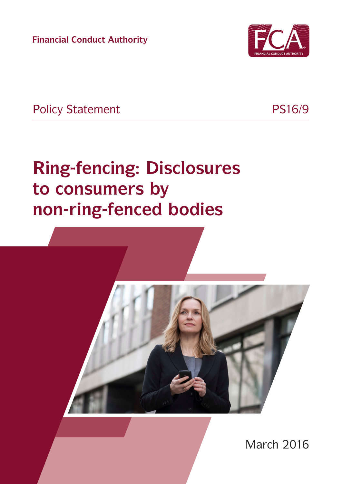**Financial Conduct Authority**



Policy Statement PS16/9

# **Ring-fencing: Disclosures to consumers by non-ring-fenced bodies**



March 2016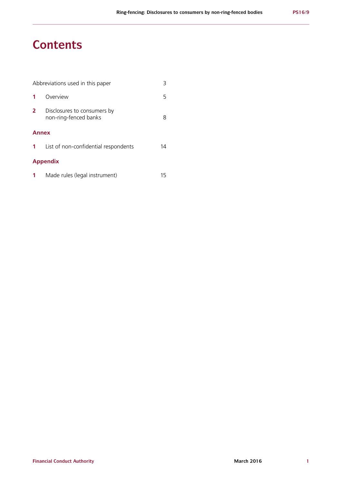# **Contents**

| Abbreviations used in this paper |                                                      |    |  |  |
|----------------------------------|------------------------------------------------------|----|--|--|
|                                  | Overview                                             | 5  |  |  |
| $\mathbf{2}$                     | Disclosures to consumers by<br>non-ring-fenced banks | 8  |  |  |
| <b>Annex</b>                     |                                                      |    |  |  |
|                                  | List of non-confidential respondents                 | 14 |  |  |
| <b>Appendix</b>                  |                                                      |    |  |  |

| Made rules (legal instrument) | 15 |
|-------------------------------|----|
|-------------------------------|----|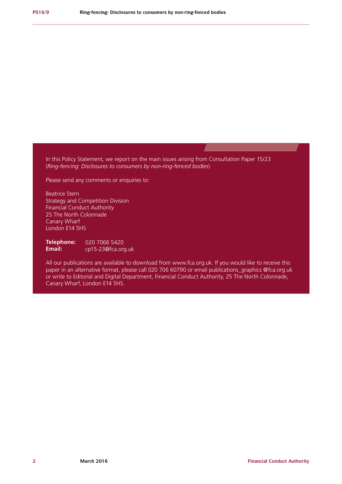In this Policy Statement, we report on the main issues arising from Consultation Paper 15/23 (*Ring-fencing: Disclosures to consumers by non-ring-fenced bodies*)

Please send any comments or enquiries to:

Beatrice Stern Strategy and Competition Division Financial Conduct Authority 25 The North Colonnade Canary Wharf London E14 5HS

**Telephone: Email:** 020 7066 5420 cp15-23[@fca.org.uk](mailto:cp15-23%40fca.org.uk?subject=)

All our publications are available to download from www.fca.org.uk. If you would like to receive this paper in an alternative format, please call 020 706 60790 or email publications\_graphics @fca.org.uk or write to Editorial and Digital Department, Financial Conduct Authority, 25 The North Colonnade, Canary Wharf, London E14 5HS.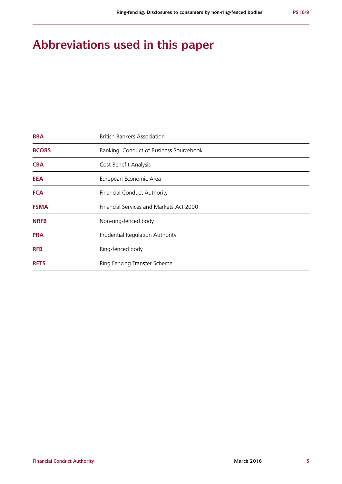# **Abbreviations used in this paper**

| <b>BBA</b>   | <b>British Bankers Association</b>      |
|--------------|-----------------------------------------|
| <b>BCOBS</b> | Banking: Conduct of Business Sourcebook |
| <b>CBA</b>   | Cost Benefit Analysis                   |
| <b>EEA</b>   | European Economic Area                  |
| <b>FCA</b>   | <b>Financial Conduct Authority</b>      |
| <b>FSMA</b>  | Financial Services and Markets Act 2000 |
| <b>NRFB</b>  | Non-ring-fenced body                    |
| <b>PRA</b>   | <b>Prudential Regulation Authority</b>  |
| <b>RFB</b>   | Ring-fenced body                        |
| <b>RFTS</b>  | Ring Fencing Transfer Scheme            |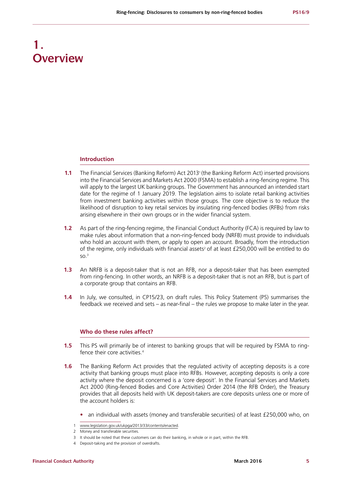# **1. Overview**

#### **Introduction**

- **1.1** The Financial Services (Banking Reform) Act 2013<sup>1</sup> (the Banking Reform Act) inserted provisions into the Financial Services and Markets Act 2000 (FSMA) to establish a ring-fencing regime. This will apply to the largest UK banking groups. The Government has announced an intended start date for the regime of 1 January 2019. The legislation aims to isolate retail banking activities from investment banking activities within those groups. The core objective is to reduce the likelihood of disruption to key retail services by insulating ring-fenced bodies (RFBs) from risks arising elsewhere in their own groups or in the wider financial system.
- **1.2** As part of the ring-fencing regime, the Financial Conduct Authority (FCA) is reguired by law to make rules about information that a non-ring-fenced body (NRFB) must provide to individuals who hold an account with them, or apply to open an account. Broadly, from the introduction of the regime, only individuals with financial assets<sup>2</sup> of at least £250,000 will be entitled to do so.3
- **1.3** An NRFB is a deposit-taker that is not an RFB, nor a deposit-taker that has been exempted from ring-fencing. In other words, an NRFB is a deposit-taker that is not an RFB, but is part of a corporate group that contains an RFB.
- **1.4** In July, we consulted, in CP15/23, on draft rules. This Policy Statement (PS) summarises the feedback we received and sets – as near-final – the rules we propose to make later in the year.

#### **Who do these rules affect?**

- **1.5** This PS will primarily be of interest to banking groups that will be required by FSMA to ringfence their core activities.4
- **1.6** The Banking Reform Act provides that the regulated activity of accepting deposits is a core activity that banking groups must place into RFBs. However, accepting deposits is only a core activity where the deposit concerned is a 'core deposit'. In the Financial Services and Markets Act 2000 (Ring-fenced Bodies and Core Activities) Order 2014 (the RFB Order), the Treasury provides that all deposits held with UK deposit-takers are core deposits unless one or more of the account holders is:
	- **•** an individual with assets (money and transferable securities) of at least £250,000 who, on

www.legislation.gov.uk/ukpga/2013/33/contents/enacted.

<sup>2</sup> Money and transferable securities.

<sup>3</sup> It should be noted that these customers can do their banking, in whole or in part, within the RFB.

<sup>4</sup> Deposit-taking and the provision of overdrafts.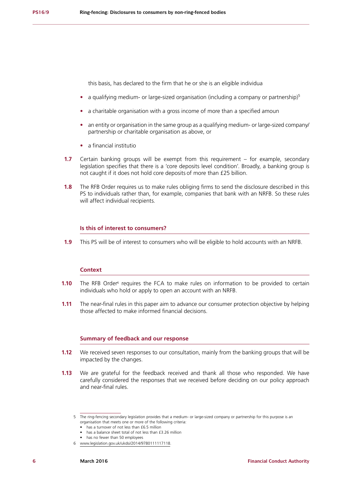this basis, has declared to the firm that he or she is an eligible individua

- a qualifying medium- or large-sized organisation (including a company or partnership)<sup>5</sup>
- **•** a charitable organisation with a gross income of more than a specified amoun
- **•** an entity or organisation in the same group as a qualifying medium- or large-sized company/ partnership or charitable organisation as above, or
- **•** a financial institutio
- **1.7** Certain banking groups will be exempt from this requirement for example, secondary legislation specifies that there is a 'core deposits level condition'. Broadly, a banking group is not caught if it does not hold core deposits of more than £25 billion.
- **1.8** The RFB Order requires us to make rules obliging firms to send the disclosure described in this PS to individuals rather than, for example, companies that bank with an NRFB. So these rules will affect individual recipients.

#### **Is this of interest to consumers?**

**1.9** This PS will be of interest to consumers who will be eligible to hold accounts with an NRFB.

#### **Context**

- **1.10** The RFB Order<sup>6</sup> requires the FCA to make rules on information to be provided to certain individuals who hold or apply to open an account with an NRFB.
- **1.11** The near-final rules in this paper aim to advance our consumer protection objective by helping those affected to make informed financial decisions.

#### **Summary of feedback and our response**

- **1.12** We received seven responses to our consultation, mainly from the banking groups that will be impacted by the changes.
- **1.13** We are grateful for the feedback received and thank all those who responded. We have carefully considered the responses that we received before deciding on our policy approach and near-final rules.

<sup>5</sup> The ring-fencing secondary legislation provides that a medium- or large-sized company or partnership for this purpose is an organisation that meets one or more of the following criteria:

<sup>•</sup> has a turnover of not less than £6.5 million

<sup>•</sup> has a balance sheet total of not less than £3.26 million

<sup>•</sup> has no fewer than 50 employees

<sup>6</sup> www.legislation.gov.uk/ukdsi/2014/9780111117118.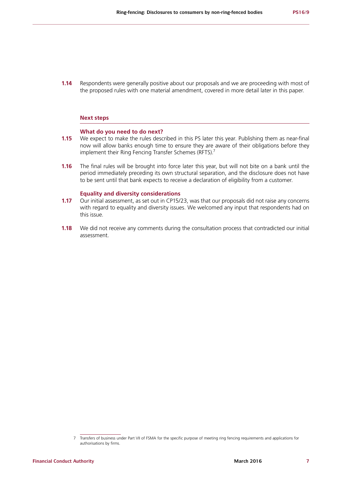**1.14** Respondents were generally positive about our proposals and we are proceeding with most of the proposed rules with one material amendment, covered in more detail later in this paper.

#### **Next steps**

#### **What do you need to do next?**

- **1.15** We expect to make the rules described in this PS later this year. Publishing them as near-final now will allow banks enough time to ensure they are aware of their obligations before they implement their Ring Fencing Transfer Schemes (RFTS).<sup>7</sup>
- **1.16** The final rules will be brought into force later this year, but will not bite on a bank until the period immediately preceding its own structural separation, and the disclosure does not have to be sent until that bank expects to receive a declaration of eligibility from a customer.

#### **Equality and diversity considerations**

- **1.17** Our initial assessment, as set out in CP15/23, was that our proposals did not raise any concerns with regard to equality and diversity issues. We welcomed any input that respondents had on this issue.
- **1.18** We did not receive any comments during the consultation process that contradicted our initial assessment.

<sup>7</sup> Transfers of business under Part VII of FSMA for the specific purpose of meeting ring fencing requirements and applications for authorisations by firms.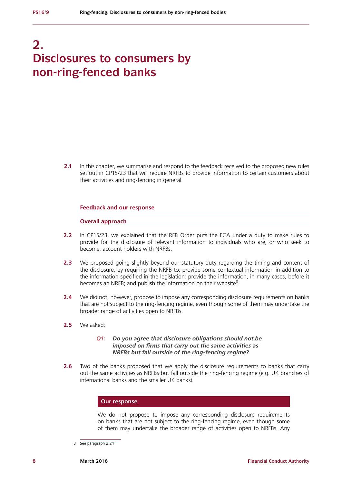# **2. Disclosures to consumers by non-ring-fenced banks**

**2.1** In this chapter, we summarise and respond to the feedback received to the proposed new rules set out in CP15/23 that will require NRFBs to provide information to certain customers about their activities and ring-fencing in general.

#### **Feedback and our response**

#### **Overall approach**

- **2.2** In CP15/23, we explained that the RFB Order puts the FCA under a duty to make rules to provide for the disclosure of relevant information to individuals who are, or who seek to become, account holders with NRFBs.
- **2.3** We proposed going slightly beyond our statutory duty regarding the timing and content of the disclosure, by requiring the NRFB to: provide some contextual information in addition to the information specified in the legislation; provide the information, in many cases, before it becomes an NRFB; and publish the information on their website<sup>8</sup>.
- **2.4** We did not, however, propose to impose any corresponding disclosure requirements on banks that are not subject to the ring-fencing regime, even though some of them may undertake the broader range of activities open to NRFBs.
- **2.5** We asked:

#### *Q1: Do you agree that disclosure obligations should not be imposed on firms that carry out the same activities as NRFBs but fall outside of the ring-fencing regime?*

**2.6** Two of the banks proposed that we apply the disclosure requirements to banks that carry out the same activities as NRFBs but fall outside the ring-fencing regime (e.g. UK branches of international banks and the smaller UK banks).

#### **Our response**

We do not propose to impose any corresponding disclosure requirements on banks that are not subject to the ring-fencing regime, even though some of them may undertake the broader range of activities open to NRFBs. Any

<sup>8</sup> See paragraph 2.24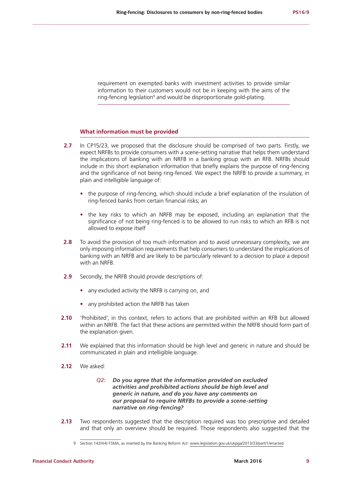requirement on exempted banks with investment activities to provide similar information to their customers would not be in keeping with the aims of the ring-fencing legislation<sup>9</sup> and would be disproportionate gold-plating.

#### **What information must be provided**

- **2.7** In CP15/23, we proposed that the disclosure should be comprised of two parts. Firstly, we expect NRFBs to provide consumers with a scene-setting narrative that helps them understand the implications of banking with an NRFB in a banking group with an RFB. NRFBs should include in this short explanation information that briefly explains the purpose of ring-fencing and the significance of not being ring-fenced. We expect the NRFB to provide a summary, in plain and intelligible language of:
	- **•** the purpose of ring-fencing, which should include a brief explanation of the insulation of ring-fenced banks from certain financial risks; an
	- **•** the key risks to which an NRFB may be exposed, including an explanation that the significance of not being ring-fenced is to be allowed to run risks to which an RFB is not allowed to expose itself
- **2.8** To avoid the provision of too much information and to avoid unnecessary complexity, we are only imposing information requirements that help consumers to understand the implications of banking with an NRFB and are likely to be particularly relevant to a decision to place a deposit with an NRFB.
- **2.9** Secondly, the NRFB should provide descriptions of:
	- **•** any excluded activity the NRFB is carrying on, and
	- **•** any prohibited action the NRFB has taken
- **2.10** 'Prohibited', in this context, refers to actions that are prohibited within an RFB but allowed within an NRFB. The fact that these actions are permitted within the NRFB should form part of the explanation given.
- **2.11** We explained that this information should be high level and generic in nature and should be communicated in plain and intelligible language.
- **2.12** We asked:

#### *Q2: Do you agree that the information provided on excluded activities and prohibited actions should be high level and generic in nature, and do you have any comments on our proposal to require NRFBs to provide a scene-setting narrative on ring-fencing?*

**2.13** Two respondents suggested that the description required was too prescriptive and detailed and that only an overview should be required. Those respondents also suggested that the

<sup>9</sup> Section 142H(4) FSMA, as inserted by the Banking Reform Act: www.legislation.gov.uk/ukpga/2013/33/part/1/enacted.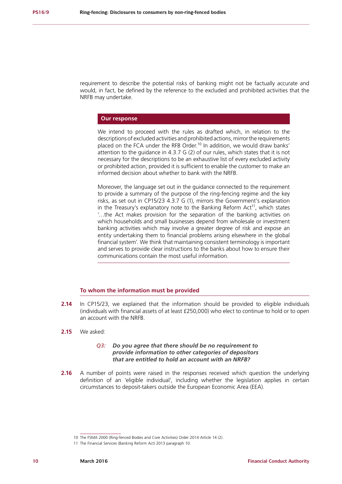requirement to describe the potential risks of banking might not be factually accurate and would, in fact, be defined by the reference to the excluded and prohibited activities that the NRFB may undertake.

#### **Our response**

We intend to proceed with the rules as drafted which, in relation to the descriptions of excluded activities and prohibited actions, mirror the requirements placed on the FCA under the RFB Order.<sup>10</sup> In addition, we would draw banks' attention to the guidance in 4.3.7 G (2) of our rules, which states that it is not necessary for the descriptions to be an exhaustive list of every excluded activity or prohibited action, provided it is sufficient to enable the customer to make an informed decision about whether to bank with the NRFB.

Moreover, the language set out in the guidance connected to the requirement to provide a summary of the purpose of the ring-fencing regime and the key risks, as set out in CP15/23 4.3.7 G (1), mirrors the Government's explanation in the Treasury's explanatory note to the Banking Reform  $Act^{11}$ , which states '…the Act makes provision for the separation of the banking activities on which households and small businesses depend from wholesale or investment banking activities which may involve a greater degree of risk and expose an entity undertaking them to financial problems arising elsewhere in the global financial system'. We think that maintaining consistent terminology is important and serves to provide clear instructions to the banks about how to ensure their communications contain the most useful information.

#### **To whom the information must be provided**

- **2.14** In CP15/23, we explained that the information should be provided to eligible individuals (individuals with financial assets of at least £250,000) who elect to continue to hold or to open an account with the NRFB.
- **2.15** We asked:

#### *Q3: Do you agree that there should be no requirement to provide information to other categories of depositors that are entitled to hold an account with an NRFB?*

**2.16** A number of points were raised in the responses received which question the underlying definition of an 'eligible individual', including whether the legislation applies in certain circumstances to deposit-takers outside the European Economic Area (EEA).

<sup>10</sup> The FSMA 2000 (Ring-fenced Bodies and Core Activities) Order 2014 Article 14 (2).

<sup>11</sup> The Financial Services (Banking Reform Act) 2013 paragraph 10.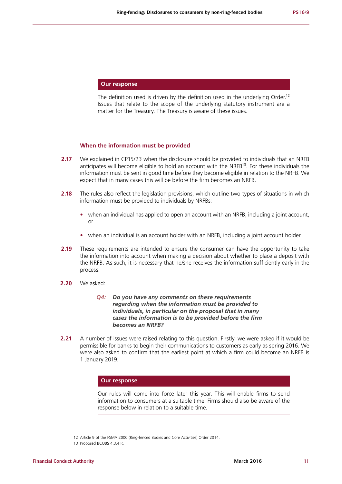#### **Our response**

The definition used is driven by the definition used in the underlying Order.<sup>12</sup> Issues that relate to the scope of the underlying statutory instrument are a matter for the Treasury. The Treasury is aware of these issues.

#### **When the information must be provided**

- **2.17** We explained in CP15/23 when the disclosure should be provided to individuals that an NRFB anticipates will become eligible to hold an account with the  $NRFB^{13}$ . For these individuals the information must be sent in good time before they become eligible in relation to the NRFB. We expect that in many cases this will be before the firm becomes an NRFB.
- **2.18** The rules also reflect the legislation provisions, which outline two types of situations in which information must be provided to individuals by NRFBs:
	- when an individual has applied to open an account with an NRFB, including a joint account, or
	- **•** when an individual is an account holder with an NRFB, including a joint account holder
- **2.19** These requirements are intended to ensure the consumer can have the opportunity to take the information into account when making a decision about whether to place a deposit with the NRFB. As such, it is necessary that he/she receives the information sufficiently early in the process.
- **2.20** We asked:

#### *Q4: Do you have any comments on these requirements regarding when the information must be provided to individuals, in particular on the proposal that in many cases the information is to be provided before the firm becomes an NRFB?*

**2.21** A number of issues were raised relating to this question. Firstly, we were asked if it would be permissible for banks to begin their communications to customers as early as spring 2016. We were also asked to confirm that the earliest point at which a firm could become an NRFB is 1 January 2019.

#### **Our response**

Our rules will come into force later this year. This will enable firms to send information to consumers at a suitable time. Firms should also be aware of the response below in relation to a suitable time.

<sup>12</sup> Article 9 of the FSMA 2000 (Ring-fenced Bodies and Core Activities) Order 2014.

<sup>13</sup> Proposed BCOBS 4.3.4 R.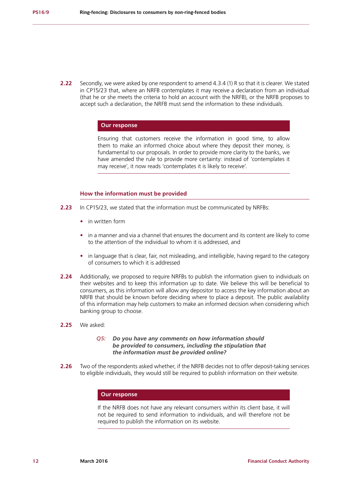**2.22** Secondly, we were asked by one respondent to amend 4.3.4 (1) R so that it is clearer. We stated in CP15/23 that, where an NRFB contemplates it may receive a declaration from an individual (that he or she meets the criteria to hold an account with the NRFB), or the NRFB proposes to accept such a declaration, the NRFB must send the information to these individuals.

#### **Our response**

Ensuring that customers receive the information in good time, to allow them to make an informed choice about where they deposit their money, is fundamental to our proposals. In order to provide more clarity to the banks, we have amended the rule to provide more certainty: instead of 'contemplates it may receive', it now reads 'contemplates it is likely to receive'.

#### **How the information must be provided**

- **2.23** In CP15/23, we stated that the information must be communicated by NRFBs:
	- **•** in written form
	- **•** in a manner and via a channel that ensures the document and its content are likely to come to the attention of the individual to whom it is addressed, and
	- **•** in language that is clear, fair, not misleading, and intelligible, having regard to the category of consumers to which it is addressed
- **2.24** Additionally, we proposed to require NRFBs to publish the information given to individuals on their websites and to keep this information up to date. We believe this will be beneficial to consumers, as this information will allow any depositor to access the key information about an NRFB that should be known before deciding where to place a deposit. The public availability of this information may help customers to make an informed decision when considering which banking group to choose.
- **2.25** We asked:

#### *Q5: Do you have any comments on how information should be provided to consumers, including the stipulation that the information must be provided online?*

**2.26** Two of the respondents asked whether, if the NRFB decides not to offer deposit-taking services to eligible individuals, they would still be required to publish information on their website.

#### **Our response**

If the NRFB does not have any relevant consumers within its client base, it will not be required to send information to individuals, and will therefore not be required to publish the information on its website.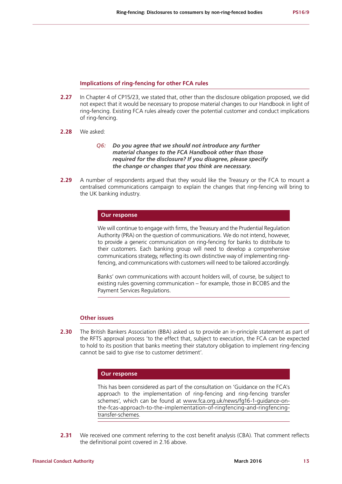#### **Implications of ring-fencing for other FCA rules**

- **2.27** In Chapter 4 of CP15/23, we stated that, other than the disclosure obligation proposed, we did not expect that it would be necessary to propose material changes to our Handbook in light of ring-fencing. Existing FCA rules already cover the potential customer and conduct implications of ring-fencing.
- **2.28** We asked:
	- *Q6: Do you agree that we should not introduce any further material changes to the FCA Handbook other than those required for the disclosure? If you disagree, please specify the change or changes that you think are necessary.*
- **2.29** A number of respondents argued that they would like the Treasury or the FCA to mount a centralised communications campaign to explain the changes that ring-fencing will bring to the UK banking industry.

#### **Our response**

We will continue to engage with firms, the Treasury and the Prudential Regulation Authority (PRA) on the question of communications. We do not intend, however, to provide a generic communication on ring-fencing for banks to distribute to their customers. Each banking group will need to develop a comprehensive communications strategy, reflecting its own distinctive way of implementing ringfencing, and communications with customers will need to be tailored accordingly.

Banks' own communications with account holders will, of course, be subject to existing rules governing communication – for example, those in BCOBS and the Payment Services Regulations.

#### **Other issues**

**2.30** The British Bankers Association (BBA) asked us to provide an in-principle statement as part of the RFTS approval process 'to the effect that, subject to execution, the FCA can be expected to hold to its position that banks meeting their statutory obligation to implement ring-fencing cannot be said to give rise to customer detriment'.

#### **Our response**

This has been considered as part of the consultation on 'Guidance on the FCA's approach to the implementation of ring-fencing and ring-fencing transfer schemes', which can be found at www.fca.org.uk/news/fg16-1-guidance-onthe-fcas-approach-to-the-implementation-of-ringfencing-and-ringfencingtransfer-schemes.

**2.31** We received one comment referring to the cost benefit analysis (CBA). That comment reflects the definitional point covered in 2.16 above.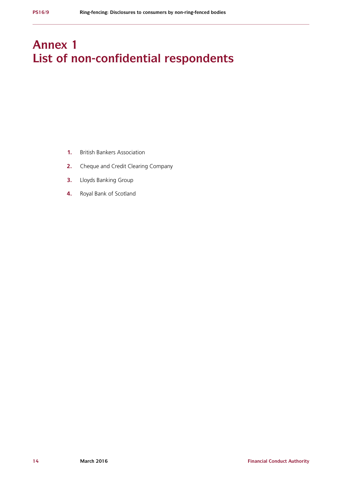# **Annex 1 List of non-confidential respondents**

- **1.** British Bankers Association
- **2.** Cheque and Credit Clearing Company
- **3.** Lloyds Banking Group
- **4.** Royal Bank of Scotland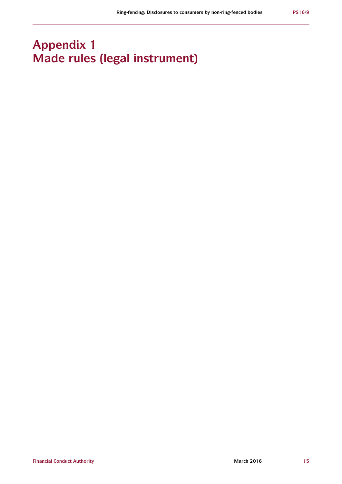# **Appendix 1 Made rules (legal instrument)**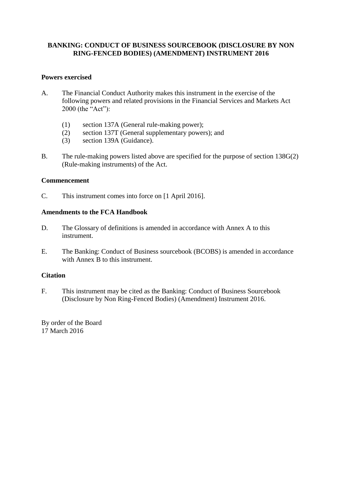# **BANKING: CONDUCT OF BUSINESS SOURCEBOOK (DISCLOSURE BY NON RING-FENCED BODIES) (AMENDMENT) INSTRUMENT 2016**

### **Powers exercised**

- A. The Financial Conduct Authority makes this instrument in the exercise of the following powers and related provisions in the Financial Services and Markets Act 2000 (the "Act"):
	- (1) section 137A (General rule-making power);
	- (2) section 137T (General supplementary powers); and
	- (3) section 139A (Guidance).
- B. The rule-making powers listed above are specified for the purpose of section 138G(2) (Rule-making instruments) of the Act.

### **Commencement**

C. This instrument comes into force on [1 April 2016].

## **Amendments to the FCA Handbook**

- D. The Glossary of definitions is amended in accordance with Annex A to this instrument.
- E. The Banking: Conduct of Business sourcebook (BCOBS) is amended in accordance with Annex B to this instrument.

### **Citation**

F. This instrument may be cited as the Banking: Conduct of Business Sourcebook (Disclosure by Non Ring-Fenced Bodies) (Amendment) Instrument 2016.

By order of the Board 17 March 2016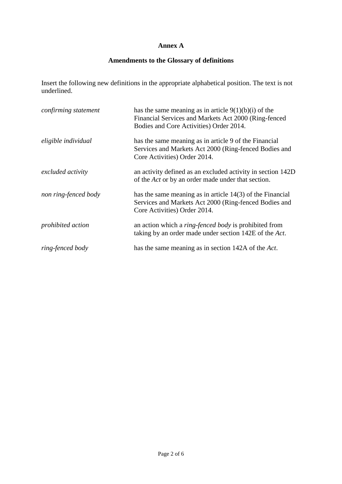# **Annex A**

# **Amendments to the Glossary of definitions**

Insert the following new definitions in the appropriate alphabetical position. The text is not underlined.

| confirming statement     | has the same meaning as in article $9(1)(b)(i)$ of the<br>Financial Services and Markets Act 2000 (Ring-fenced<br>Bodies and Core Activities) Order 2014. |
|--------------------------|-----------------------------------------------------------------------------------------------------------------------------------------------------------|
| eligible individual      | has the same meaning as in article 9 of the Financial<br>Services and Markets Act 2000 (Ring-fenced Bodies and<br>Core Activities) Order 2014.            |
| excluded activity        | an activity defined as an excluded activity in section 142D<br>of the <i>Act</i> or by an order made under that section.                                  |
| non ring-fenced body     | has the same meaning as in article $14(3)$ of the Financial<br>Services and Markets Act 2000 (Ring-fenced Bodies and<br>Core Activities) Order 2014.      |
| <i>prohibited action</i> | an action which a <i>ring-fenced body</i> is prohibited from<br>taking by an order made under section 142E of the Act.                                    |
| ring-fenced body         | has the same meaning as in section 142A of the Act.                                                                                                       |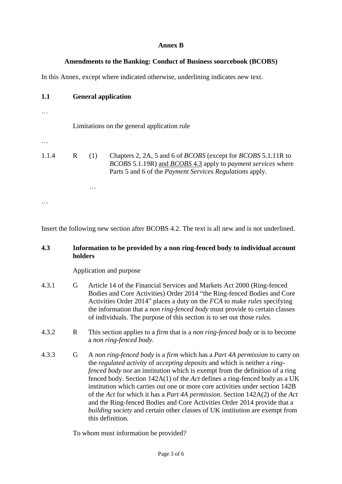# **Annex B**

## **Amendments to the Banking: Conduct of Business sourcebook (BCOBS)**

In this Annex, except where indicated otherwise, underlining indicates new text.

| 1.1               | <b>General application</b>                  |     |                                                                                                                                                                  |  |  |
|-------------------|---------------------------------------------|-----|------------------------------------------------------------------------------------------------------------------------------------------------------------------|--|--|
|                   | Limitations on the general application rule |     |                                                                                                                                                                  |  |  |
| 1.1.4             | R                                           | (1) | Chapters 2, 2A, 5 and 6 of <i>BCOBS</i> (except for <i>BCOBS</i> 5.1.11R to<br><i>BCOBS</i> 5.1.19R) and <i>BCOBS</i> 4.3 apply to <i>payment services</i> where |  |  |
| $\cdot\cdot\cdot$ |                                             |     | Parts 5 and 6 of the <i>Payment Services Regulations</i> apply.                                                                                                  |  |  |

Insert the following new section after BCOBS 4.2. The text is all new and is not underlined.

## **4.3 Information to be provided by a non ring-fenced body to individual account holders**

Application and purpose

- 4.3.1 G Article 14 of the Financial Services and Markets Act 2000 (Ring-fenced Bodies and Core Activities) Order 2014 "the Ring-fenced Bodies and Core Activities Order 2014" places a duty on the *FCA* to make *rules* specifying the information that a *non ring-fenced body* must provide to certain classes of individuals. The purpose of this section is to set out those *rules*.
- 4.3.2 R This section applies to a *firm* that is a *non ring-fenced body* or is to become a *non ring-fenced body*.
- 4.3.3 G A *non ring-fenced body* is a *firm* which has a *Part 4A permission* to carry on the *regulated activity* of *accepting deposits* and which is neither a *ringfenced body* nor an institution which is exempt from the definition of a ring fenced body. Section 142A(1) of the *Act* defines a ring-fenced body as a UK institution which carries out one or more core activities under section 142B of the *Act* for which it has a *Part 4A permission*. Section 142A(2) of the *Act* and the Ring-fenced Bodies and Core Activities Order 2014 provide that a *building society* and certain other classes of UK institution are exempt from this definition.

To whom must information be provided?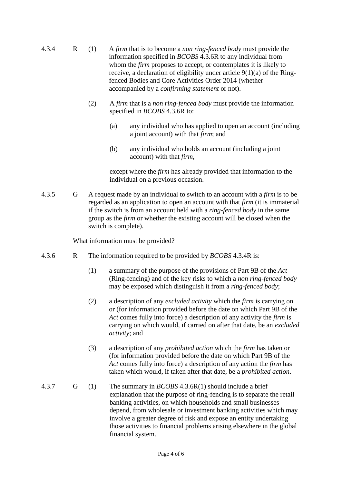- 4.3.4 R (1) A *firm* that is to become a *non ring-fenced body* must provide the information specified in *BCOBS* 4.3.6R to any individual from whom the *firm* proposes to accept, or contemplates it is likely to receive, a declaration of eligibility under article 9(1)(a) of the Ringfenced Bodies and Core Activities Order 2014 (whether accompanied by a *confirming statement* or not).
	- (2) A *firm* that is a *non ring-fenced body* must provide the information specified in *BCOBS* 4.3.6R to:
		- (a) any individual who has applied to open an account (including a joint account) with that *firm*; and
		- (b) any individual who holds an account (including a joint account) with that *firm*,

except where the *firm* has already provided that information to the individual on a previous occasion.

4.3.5 G A request made by an individual to switch to an account with a *firm* is to be regarded as an application to open an account with that *firm* (it is immaterial if the switch is from an account held with a *ring-fenced body* in the same group as the *firm* or whether the existing account will be closed when the switch is complete).

What information must be provided?

- 4.3.6 R The information required to be provided by *BCOBS* 4.3.4R is:
	- (1) a summary of the purpose of the provisions of Part 9B of the *Act* (Ring-fencing) and of the key risks to which a *non ring-fenced body* may be exposed which distinguish it from a *ring-fenced body*;
	- (2) a description of any *excluded activity* which the *firm* is carrying on or (for information provided before the date on which Part 9B of the *Act* comes fully into force) a description of any activity the *firm* is carrying on which would, if carried on after that date, be an *excluded activity*; and
	- (3) a description of any *prohibited action* which the *firm* has taken or (for information provided before the date on which Part 9B of the *Act* comes fully into force) a description of any action the *firm* has taken which would, if taken after that date, be a *prohibited action*.
- 4.3.7 G (1) The summary in *BCOBS* 4.3.6R(1) should include a brief explanation that the purpose of ring-fencing is to separate the retail banking activities, on which households and small businesses depend, from wholesale or investment banking activities which may involve a greater degree of risk and expose an entity undertaking those activities to financial problems arising elsewhere in the global financial system.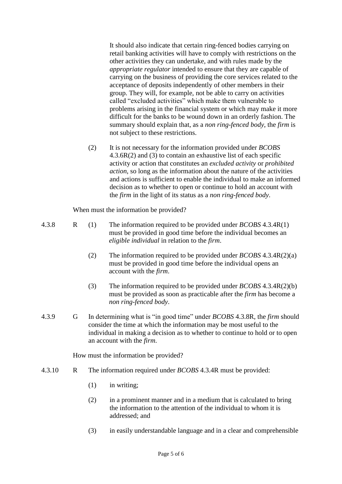It should also indicate that certain ring-fenced bodies carrying on retail banking activities will have to comply with restrictions on the other activities they can undertake, and with rules made by the *appropriate regulator* intended to ensure that they are capable of carrying on the business of providing the core services related to the acceptance of deposits independently of other members in their group. They will, for example, not be able to carry on activities called "excluded activities" which make them vulnerable to problems arising in the financial system or which may make it more difficult for the banks to be wound down in an orderly fashion. The summary should explain that, as a *non ring-fenced body*, the *firm* is not subject to these restrictions.

(2) It is not necessary for the information provided under *BCOBS* 4.3.6R(2) and (3) to contain an exhaustive list of each specific activity or action that constitutes an *excluded activity* or *prohibited action*, so long as the information about the nature of the activities and actions is sufficient to enable the individual to make an informed decision as to whether to open or continue to hold an account with the *firm* in the light of its status as a *non ring-fenced body*.

When must the information be provided?

4.3.8 R (1) The information required to be provided under *BCOBS* 4.3.4R(1) must be provided in good time before the individual becomes an *eligible individual* in relation to the *firm*.

- (2) The information required to be provided under *BCOBS* 4.3.4R(2)(a) must be provided in good time before the individual opens an account with the *firm*.
- (3) The information required to be provided under *BCOBS* 4.3.4R(2)(b) must be provided as soon as practicable after the *firm* has become a *non ring-fenced body*.
- 4.3.9 G In determining what is "in good time" under *BCOBS* 4.3.8R, the *firm* should consider the time at which the information may be most useful to the individual in making a decision as to whether to continue to hold or to open an account with the *firm*.

How must the information be provided?

- 4.3.10 R The information required under *BCOBS* 4.3.4R must be provided:
	- (1) in writing;
	- (2) in a prominent manner and in a medium that is calculated to bring the information to the attention of the individual to whom it is addressed; and
	- (3) in easily understandable language and in a clear and comprehensible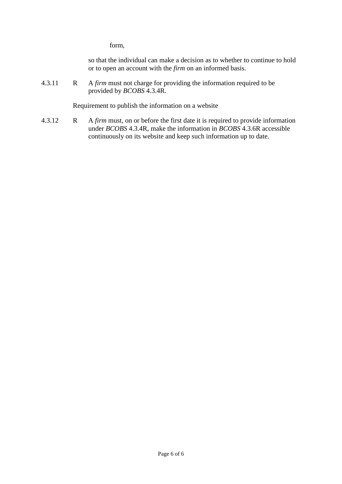form,

so that the individual can make a decision as to whether to continue to hold or to open an account with the *firm* on an informed basis.

4.3.11 R A *firm* must not charge for providing the information required to be provided by *BCOBS* 4.3.4R.

Requirement to publish the information on a website

4.3.12 R A *firm* must, on or before the first date it is required to provide information under *BCOBS* 4.3.4R, make the information in *BCOBS* 4.3.6R accessible continuously on its website and keep such information up to date.